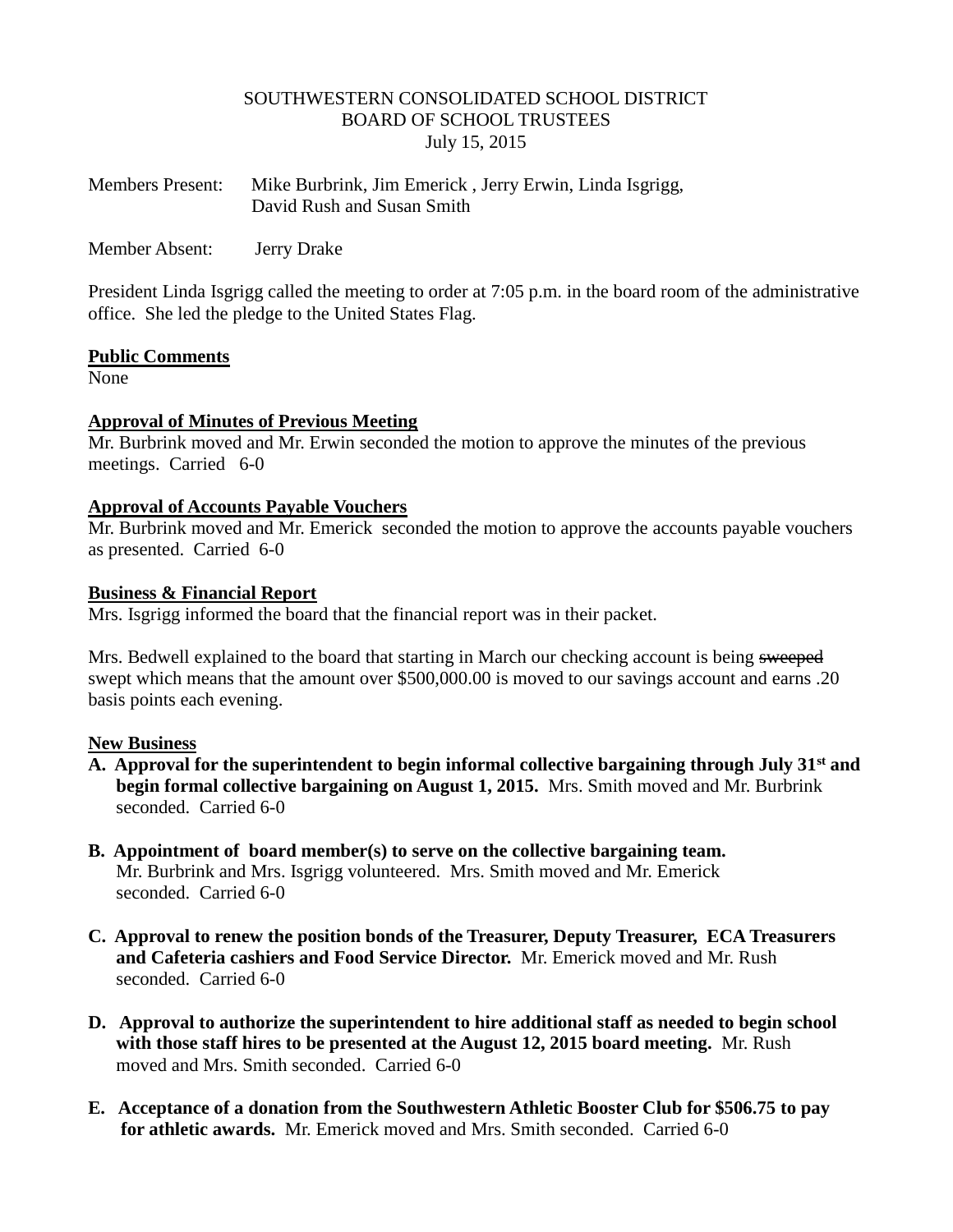### SOUTHWESTERN CONSOLIDATED SCHOOL DISTRICT BOARD OF SCHOOL TRUSTEES July 15, 2015

| <b>Members Present:</b> | Mike Burbrink, Jim Emerick, Jerry Erwin, Linda Isgrigg, |
|-------------------------|---------------------------------------------------------|
|                         | David Rush and Susan Smith                              |

Member Absent: Jerry Drake

President Linda Isgrigg called the meeting to order at 7:05 p.m. in the board room of the administrative office. She led the pledge to the United States Flag.

#### **Public Comments**

None

### **Approval of Minutes of Previous Meeting**

Mr. Burbrink moved and Mr. Erwin seconded the motion to approve the minutes of the previous meetings. Carried 6-0

#### **Approval of Accounts Payable Vouchers**

Mr. Burbrink moved and Mr. Emerick seconded the motion to approve the accounts payable vouchers as presented. Carried 6-0

#### **Business & Financial Report**

Mrs. Isgrigg informed the board that the financial report was in their packet.

Mrs. Bedwell explained to the board that starting in March our checking account is being sweeped swept which means that the amount over \$500,000.00 is moved to our savings account and earns .20 basis points each evening.

### **New Business**

- **A. Approval for the superintendent to begin informal collective bargaining through July 31st and begin formal collective bargaining on August 1, 2015.** Mrs. Smith moved and Mr. Burbrink seconded. Carried 6-0
- **B. Appointment of board member(s) to serve on the collective bargaining team.** Mr. Burbrink and Mrs. Isgrigg volunteered. Mrs. Smith moved and Mr. Emerick seconded. Carried 6-0
- **C. Approval to renew the position bonds of the Treasurer, Deputy Treasurer, ECA Treasurers and Cafeteria cashiers and Food Service Director.** Mr. Emerick moved and Mr. Rush seconded. Carried 6-0
- **D. Approval to authorize the superintendent to hire additional staff as needed to begin school with those staff hires to be presented at the August 12, 2015 board meeting.** Mr. Rush moved and Mrs. Smith seconded. Carried 6-0
- **E. Acceptance of a donation from the Southwestern Athletic Booster Club for \$506.75 to pay for athletic awards.** Mr. Emerick moved and Mrs. Smith seconded. Carried 6-0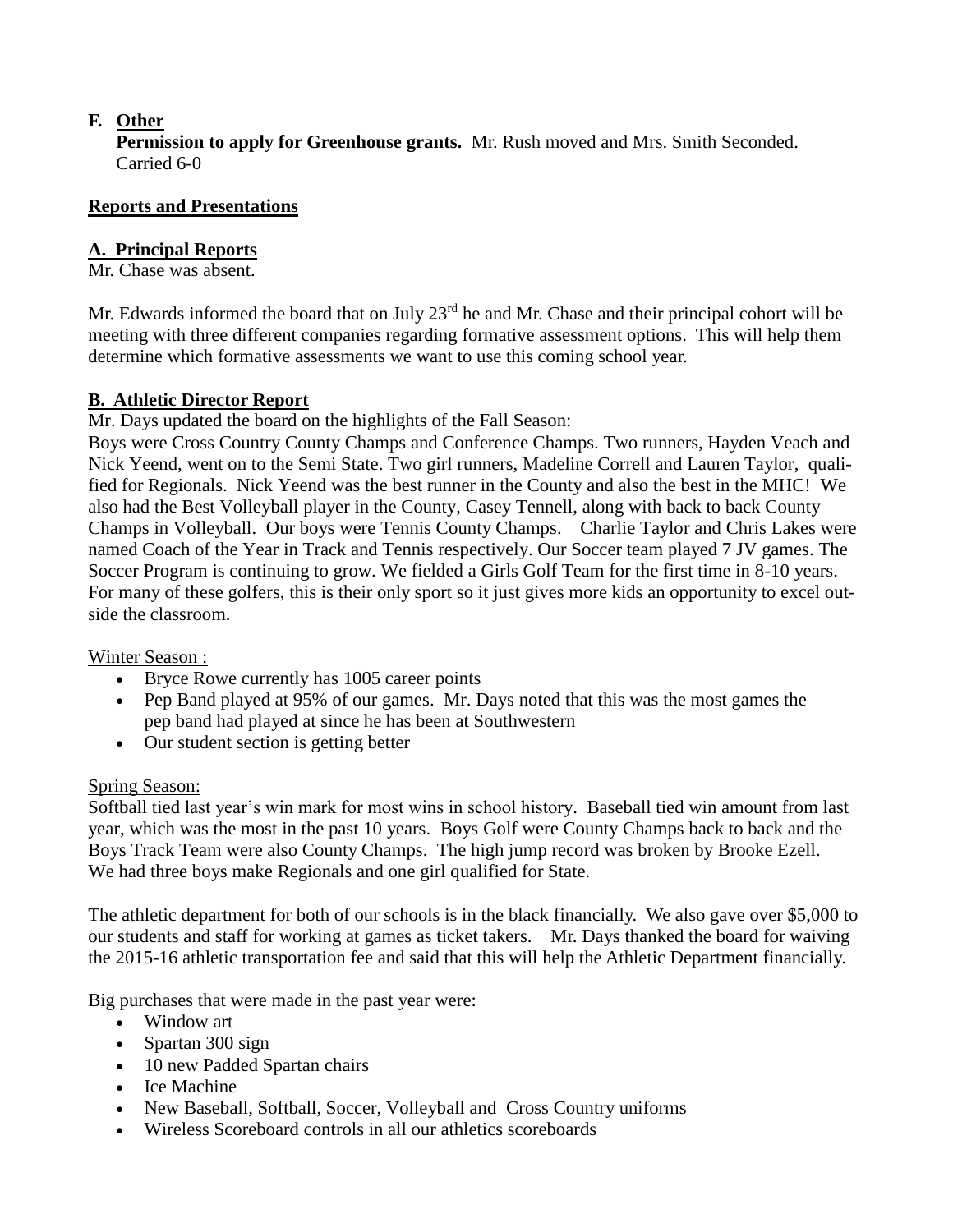# **F. Other**

 **Permission to apply for Greenhouse grants.** Mr. Rush moved and Mrs. Smith Seconded. Carried 6-0

## **Reports and Presentations**

## **A. Principal Reports**

Mr. Chase was absent.

Mr. Edwards informed the board that on July 23<sup>rd</sup> he and Mr. Chase and their principal cohort will be meeting with three different companies regarding formative assessment options. This will help them determine which formative assessments we want to use this coming school year.

## **B. Athletic Director Report**

Mr. Days updated the board on the highlights of the Fall Season:

Boys were Cross Country County Champs and Conference Champs. Two runners, Hayden Veach and Nick Yeend, went on to the Semi State. Two girl runners, Madeline Correll and Lauren Taylor, qualified for Regionals. Nick Yeend was the best runner in the County and also the best in the MHC! We also had the Best Volleyball player in the County, Casey Tennell, along with back to back County Champs in Volleyball. Our boys were Tennis County Champs. Charlie Taylor and Chris Lakes were named Coach of the Year in Track and Tennis respectively. Our Soccer team played 7 JV games. The Soccer Program is continuing to grow. We fielded a Girls Golf Team for the first time in 8-10 years. For many of these golfers, this is their only sport so it just gives more kids an opportunity to excel outside the classroom.

### Winter Season :

- Bryce Rowe currently has 1005 career points
- Pep Band played at 95% of our games. Mr. Days noted that this was the most games the pep band had played at since he has been at Southwestern
- Our student section is getting better

### Spring Season:

Softball tied last year's win mark for most wins in school history. Baseball tied win amount from last year, which was the most in the past 10 years. Boys Golf were County Champs back to back and the Boys Track Team were also County Champs. The high jump record was broken by Brooke Ezell. We had three boys make Regionals and one girl qualified for State.

The athletic department for both of our schools is in the black financially. We also gave over \$5,000 to our students and staff for working at games as ticket takers. Mr. Days thanked the board for waiving the 2015-16 athletic transportation fee and said that this will help the Athletic Department financially.

Big purchases that were made in the past year were:

- Window art
- Spartan 300 sign
- 10 new Padded Spartan chairs
- Ice Machine
- New Baseball, Softball, Soccer, Volleyball and Cross Country uniforms
- Wireless Scoreboard controls in all our athletics scoreboards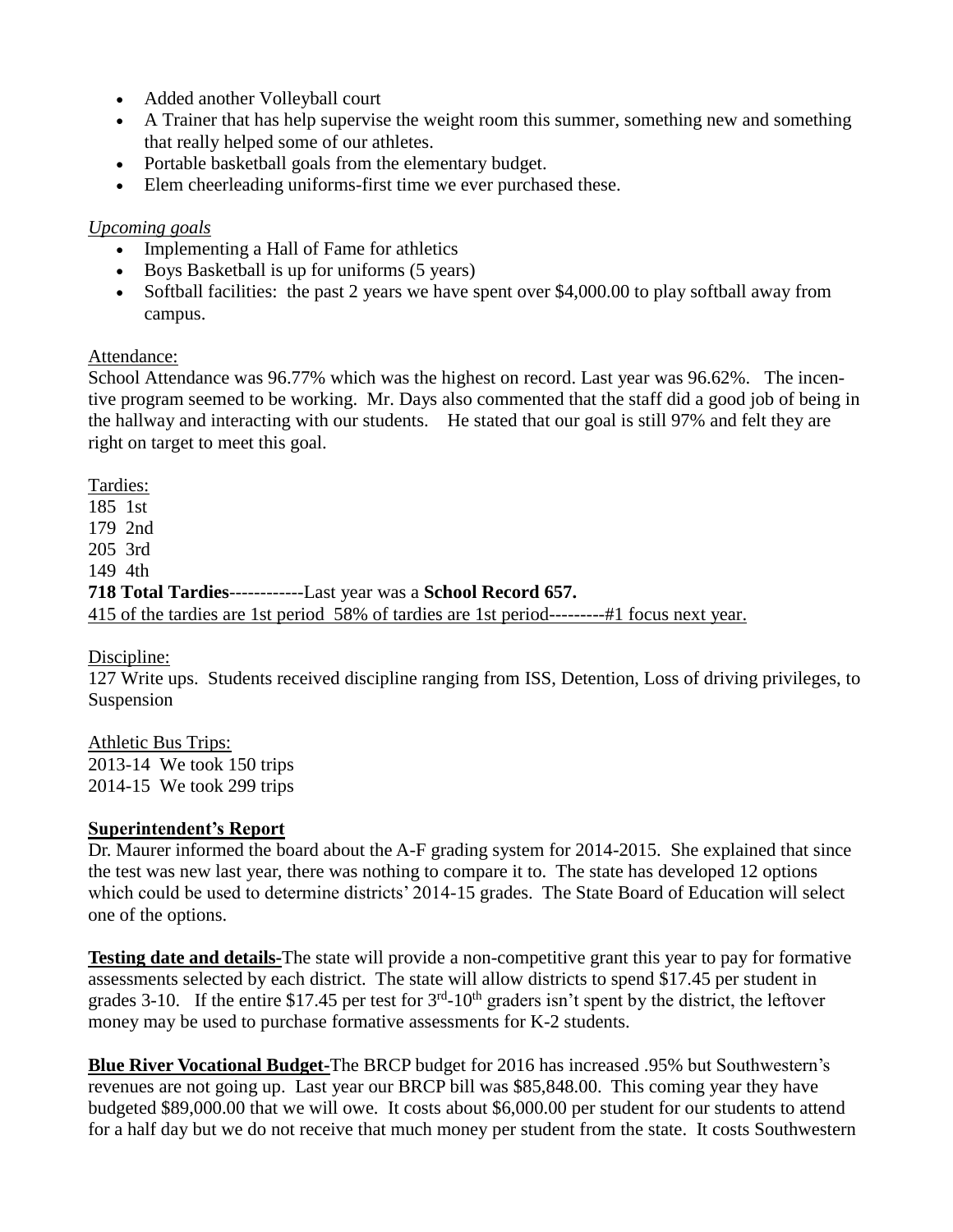- Added another Volleyball court
- A Trainer that has help supervise the weight room this summer, something new and something that really helped some of our athletes.
- Portable basketball goals from the elementary budget.
- Elem cheerleading uniforms-first time we ever purchased these.

### *Upcoming goals*

- Implementing a Hall of Fame for athletics
- Boys Basketball is up for uniforms (5 years)
- Softball facilities: the past 2 years we have spent over \$4,000.00 to play softball away from campus.

#### Attendance:

School Attendance was 96.77% which was the highest on record. Last year was 96.62%. The incentive program seemed to be working. Mr. Days also commented that the staff did a good job of being in the hallway and interacting with our students. He stated that our goal is still 97% and felt they are right on target to meet this goal.

Tardies: 185 1st 179 2nd 205 3rd 149 4th **718 Total Tardies**------------Last year was a **School Record 657.** 415 of the tardies are 1st period 58% of tardies are 1st period---------#1 focus next year.

### Discipline:

127 Write ups. Students received discipline ranging from ISS, Detention, Loss of driving privileges, to Suspension

Athletic Bus Trips: 2013-14 We took 150 trips 2014-15 We took 299 trips

### **Superintendent's Report**

Dr. Maurer informed the board about the A-F grading system for 2014-2015. She explained that since the test was new last year, there was nothing to compare it to. The state has developed 12 options which could be used to determine districts' 2014-15 grades. The State Board of Education will select one of the options.

**Testing date and details-**The state will provide a non-competitive grant this year to pay for formative assessments selected by each district. The state will allow districts to spend \$17.45 per student in grades 3-10. If the entire \$17.45 per test for  $3<sup>rd</sup>$ -10<sup>th</sup> graders isn't spent by the district, the leftover money may be used to purchase formative assessments for K-2 students.

**Blue River Vocational Budget-**The BRCP budget for 2016 has increased .95% but Southwestern's revenues are not going up. Last year our BRCP bill was \$85,848.00. This coming year they have budgeted \$89,000.00 that we will owe. It costs about \$6,000.00 per student for our students to attend for a half day but we do not receive that much money per student from the state. It costs Southwestern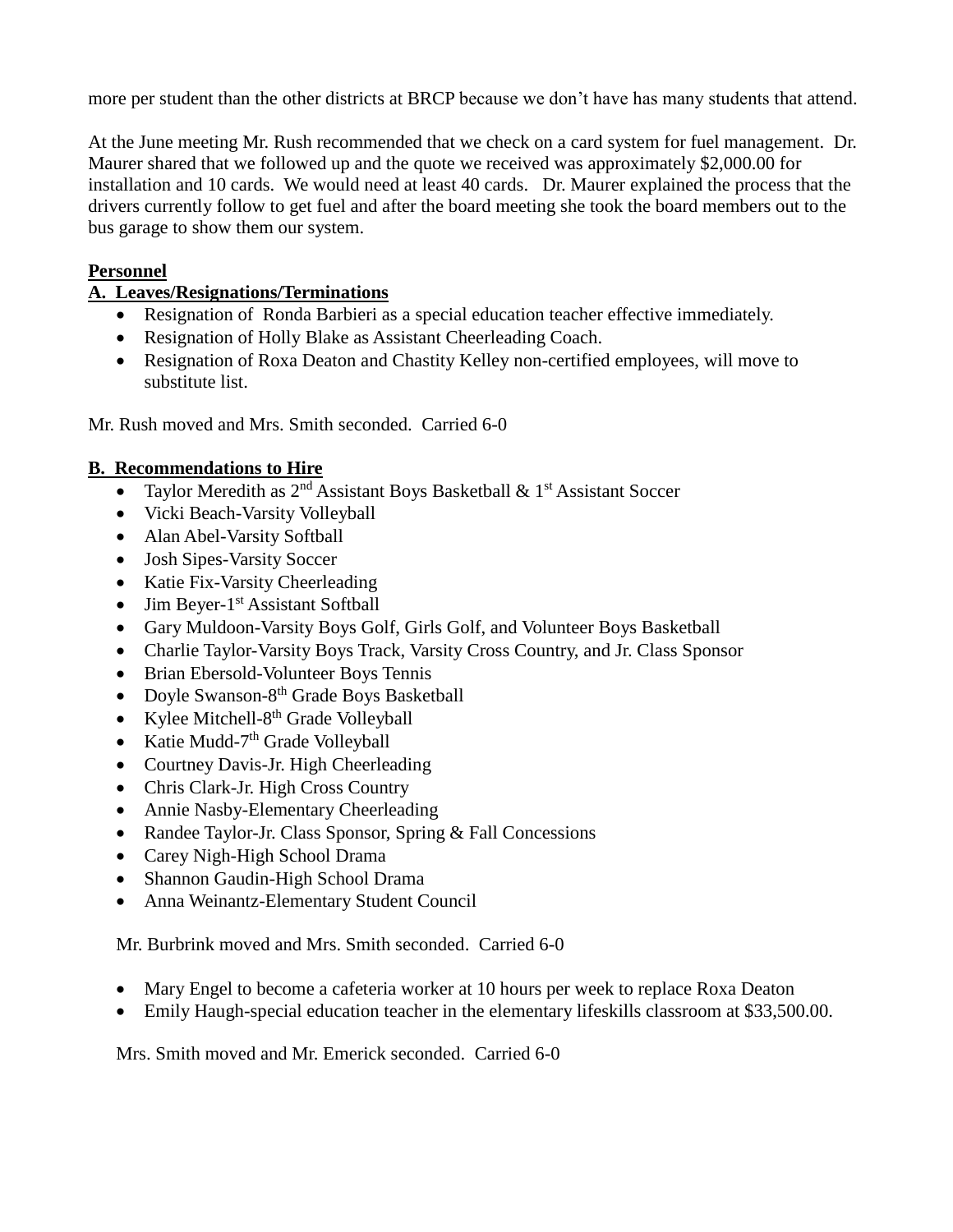more per student than the other districts at BRCP because we don't have has many students that attend.

At the June meeting Mr. Rush recommended that we check on a card system for fuel management. Dr. Maurer shared that we followed up and the quote we received was approximately \$2,000.00 for installation and 10 cards. We would need at least 40 cards. Dr. Maurer explained the process that the drivers currently follow to get fuel and after the board meeting she took the board members out to the bus garage to show them our system.

# **Personnel**

# **A. Leaves/Resignations/Terminations**

- Resignation of Ronda Barbieri as a special education teacher effective immediately.
- Resignation of Holly Blake as Assistant Cheerleading Coach.
- Resignation of Roxa Deaton and Chastity Kelley non-certified employees, will move to substitute list.

Mr. Rush moved and Mrs. Smith seconded. Carried 6-0

# **B. Recommendations to Hire**

- Taylor Meredith as  $2^{nd}$  Assistant Boys Basketball &  $1^{st}$  Assistant Soccer
- Vicki Beach-Varsity Volleyball
- Alan Abel-Varsity Softball
- Josh Sipes-Varsity Soccer
- Katie Fix-Varsity Cheerleading
- Jim Beyer-1<sup>st</sup> Assistant Softball
- Gary Muldoon-Varsity Boys Golf, Girls Golf, and Volunteer Boys Basketball
- Charlie Taylor-Varsity Boys Track, Varsity Cross Country, and Jr. Class Sponsor
- Brian Ebersold-Volunteer Boys Tennis
- Doyle Swanson-8<sup>th</sup> Grade Boys Basketball
- Kylee Mitchell-8<sup>th</sup> Grade Volleyball
- Katie Mudd-7<sup>th</sup> Grade Volleyball
- Courtney Davis-Jr. High Cheerleading
- Chris Clark-Jr. High Cross Country
- Annie Nasby-Elementary Cheerleading
- Randee Taylor-Jr. Class Sponsor, Spring & Fall Concessions
- Carey Nigh-High School Drama
- Shannon Gaudin-High School Drama
- Anna Weinantz-Elementary Student Council

Mr. Burbrink moved and Mrs. Smith seconded. Carried 6-0

- Mary Engel to become a cafeteria worker at 10 hours per week to replace Roxa Deaton
- Emily Haugh-special education teacher in the elementary lifeskills classroom at \$33,500.00.

Mrs. Smith moved and Mr. Emerick seconded. Carried 6-0